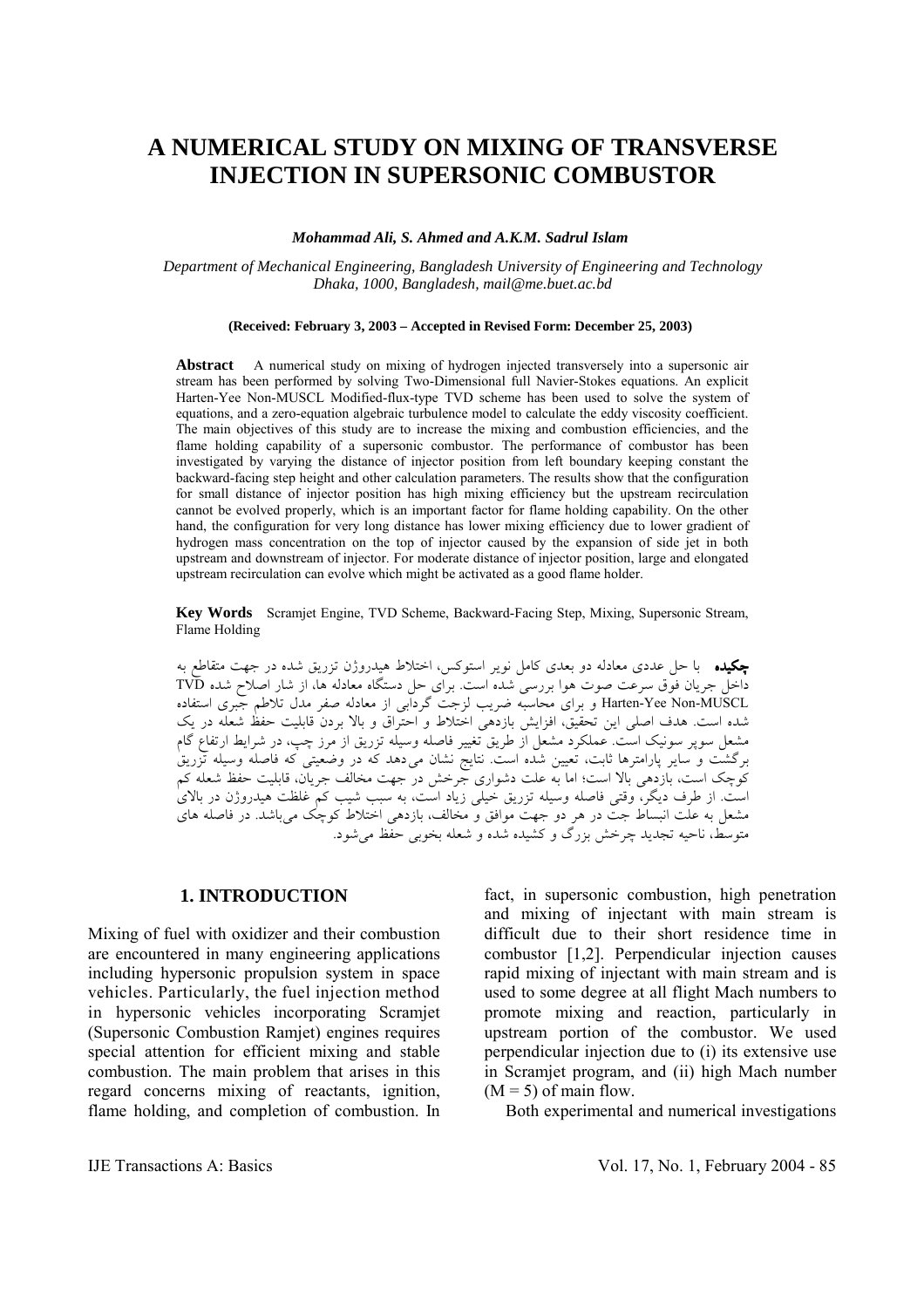# **A NUMERICAL STUDY ON MIXING OF TRANSVERSE INJECTION IN SUPERSONIC COMBUSTOR**

#### *Mohammad Ali, S. Ahmed and A.K.M. Sadrul Islam*

*Department of Mechanical Engineering, Bangladesh University of Engineering and Technology Dhaka, 1000, Bangladesh, mail@me.buet.ac.bd* 

#### **(Received: February 3, 2003 – Accepted in Revised Form: December 25, 2003)**

**Abstract** A numerical study on mixing of hydrogen injected transversely into a supersonic air stream has been performed by solving Two-Dimensional full Navier-Stokes equations. An explicit Harten-Yee Non-MUSCL Modified-flux-type TVD scheme has been used to solve the system of equations, and a zero-equation algebraic turbulence model to calculate the eddy viscosity coefficient. The main objectives of this study are to increase the mixing and combustion efficiencies, and the flame holding capability of a supersonic combustor. The performance of combustor has been investigated by varying the distance of injector position from left boundary keeping constant the backward-facing step height and other calculation parameters. The results show that the configuration for small distance of injector position has high mixing efficiency but the upstream recirculation cannot be evolved properly, which is an important factor for flame holding capability. On the other hand, the configuration for very long distance has lower mixing efficiency due to lower gradient of hydrogen mass concentration on the top of injector caused by the expansion of side jet in both upstream and downstream of injector. For moderate distance of injector position, large and elongated upstream recirculation can evolve which might be activated as a good flame holder.

**Key Words** Scramjet Engine, TVD Scheme, Backward-Facing Step, Mixing, Supersonic Stream, Flame Holding

چكيده با حل عددي معادله دو بعدي كامل نوير استوكس، اختلاط هيدروژن تزريق شده در جهت متقاطع به داخل جريان فوق سرعت صوت هوا بررسي شده است. براي حل دستگاه معادله ها، از شار اصلاح شده TVD MUSCL-Non Yee-Harten و براي محاسبه ضريب لزجت گردابي از معادله صفر مدل تلاطم جبري استفاده شده است. هدف اصلي اين تحقيق، افزايش بازدهي اختلاط و احتراق و بالا بردن قابليت حفظ شعله در يك مشعل سوپر سونيك است. عملكرد مشعل از طريق تغيير فاصله وسيله تزريق از مرز چپ، در شرايط ارتفاع گام برگشت و ساير پارامترها ثابت، تعيين شده است. نتايج نشان ميدهد كه در وضعيتي كه فاصله وسيله تزريق .<br>كوچك است، بازدهي بالا است؛ اما به علت دشواري جرخش در جهت مخالف جريان، قابليت حفظ شعله كم است. از طرف ديگر، وقتي فاصله وسيله تزريق خيلي زياد است، به سبب شيب كم غلظت هيدروژن در بالاي مشعل به علت انبساط جت در هر دو جهت موافق و مخالف، بازدهي اختلاط كوچك ميباشد. در فاصله هاي متوسط، ناحيه تجديد چرخش بزرگ و كشيده شده و شعله بخوبي حفظ ميشود.

# **1. INTRODUCTION**

Mixing of fuel with oxidizer and their combustion are encountered in many engineering applications including hypersonic propulsion system in space vehicles. Particularly, the fuel injection method in hypersonic vehicles incorporating Scramjet (Supersonic Combustion Ramjet) engines requires special attention for efficient mixing and stable combustion. The main problem that arises in this regard concerns mixing of reactants, ignition, flame holding, and completion of combustion. In

fact, in supersonic combustion, high penetration and mixing of injectant with main stream is difficult due to their short residence time in combustor [1,2]. Perpendicular injection causes rapid mixing of injectant with main stream and is used to some degree at all flight Mach numbers to promote mixing and reaction, particularly in upstream portion of the combustor. We used perpendicular injection due to (i) its extensive use in Scramjet program, and (ii) high Mach number  $(M = 5)$  of main flow.

Both experimental and numerical investigations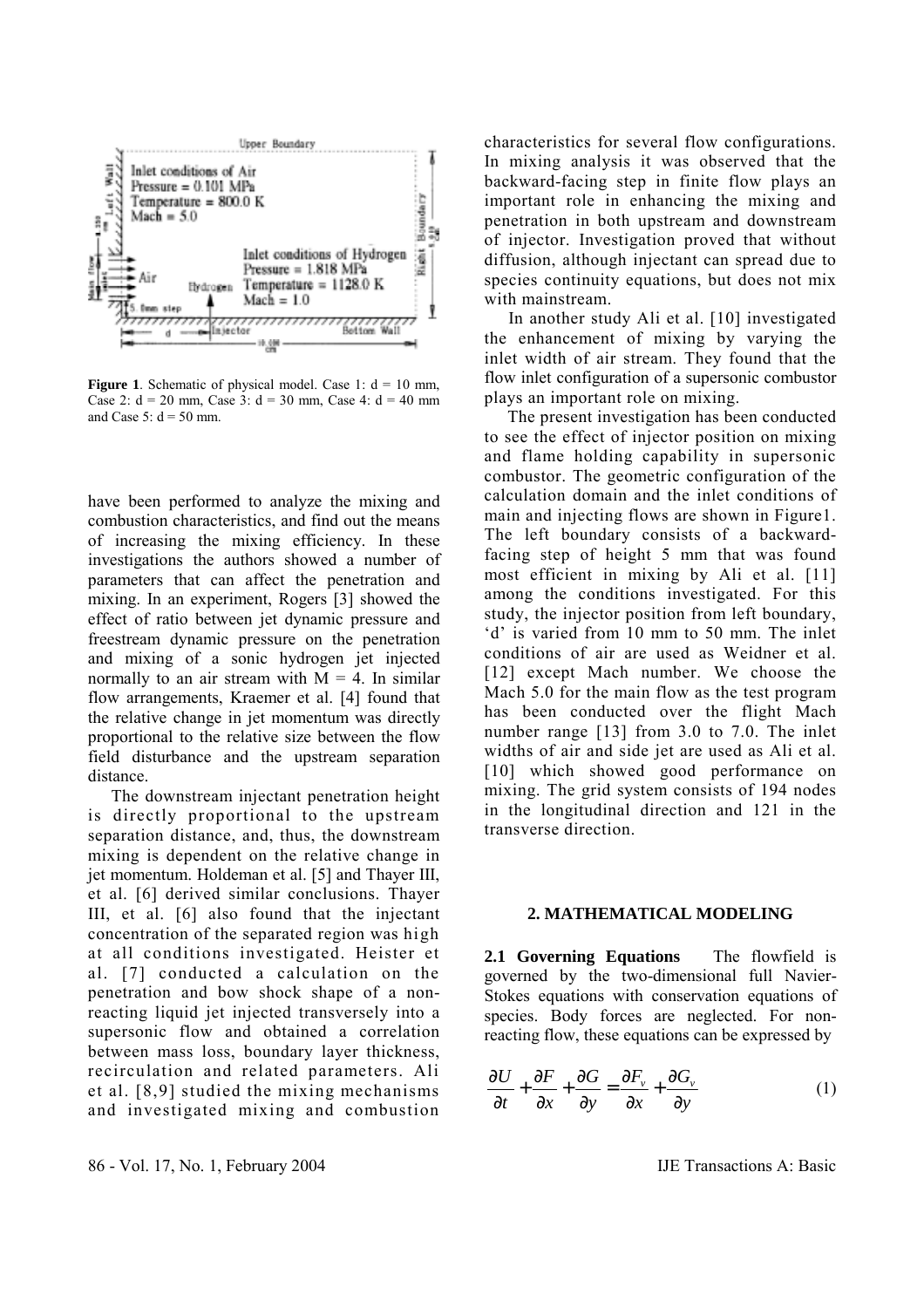

**Figure 1**. Schematic of physical model. Case 1:  $d = 10$  mm, Case 2:  $d = 20$  mm, Case 3:  $d = 30$  mm, Case 4:  $d = 40$  mm and Case 5:  $d = 50$  mm.

have been performed to analyze the mixing and combustion characteristics, and find out the means of increasing the mixing efficiency. In these investigations the authors showed a number of parameters that can affect the penetration and mixing. In an experiment, Rogers [3] showed the effect of ratio between jet dynamic pressure and freestream dynamic pressure on the penetration and mixing of a sonic hydrogen jet injected normally to an air stream with  $M = 4$ . In similar flow arrangements, Kraemer et al. [4] found that the relative change in jet momentum was directly proportional to the relative size between the flow field disturbance and the upstream separation distance.

 The downstream injectant penetration height is directly proportional to the upstream separation distance, and, thus, the downstream mixing is dependent on the relative change in jet momentum. Holdeman et al. [5] and Thayer III, et al. [6] derived similar conclusions. Thayer III, et al. [6] also found that the injectant concentration of the separated region was high at all conditions investigated. Heister et al. [7] conducted a calculation on the penetration and bow shock shape of a nonreacting liquid jet injected transversely into a supersonic flow and obtained a correlation between mass loss, boundary layer thickness, recirculation and related parameters. Ali et al. [8,9] studied the mixing mechanisms and investigated mixing and combustion

characteristics for several flow configurations. In mixing analysis it was observed that the backward-facing step in finite flow plays an important role in enhancing the mixing and penetration in both upstream and downstream of injector. Investigation proved that without diffusion, although injectant can spread due to species continuity equations, but does not mix with mainstream.

 In another study Ali et al. [10] investigated the enhancement of mixing by varying the inlet width of air stream. They found that the flow inlet configuration of a supersonic combustor plays an important role on mixing.

 The present investigation has been conducted to see the effect of injector position on mixing and flame holding capability in supersonic combustor. The geometric configuration of the calculation domain and the inlet conditions of main and injecting flows are shown in Figure1. The left boundary consists of a backwardfacing step of height 5 mm that was found most efficient in mixing by Ali et al. [11] among the conditions investigated. For this study, the injector position from left boundary, 'd' is varied from 10 mm to 50 mm. The inlet conditions of air are used as Weidner et al. [12] except Mach number. We choose the Mach 5.0 for the main flow as the test program has been conducted over the flight Mach number range [13] from 3.0 to 7.0. The inlet widths of air and side jet are used as Ali et al. [10] which showed good performance on mixing. The grid system consists of 194 nodes in the longitudinal direction and 121 in the transverse direction.

#### **2. MATHEMATICAL MODELING**

2.1 Governing Equations The flowfield is governed by the two-dimensional full Navier-Stokes equations with conservation equations of species. Body forces are neglected. For nonreacting flow, these equations can be expressed by

$$
\frac{\partial U}{\partial t} + \frac{\partial F}{\partial x} + \frac{\partial G}{\partial y} = \frac{\partial F_{\nu}}{\partial x} + \frac{\partial G_{\nu}}{\partial y}
$$
(1)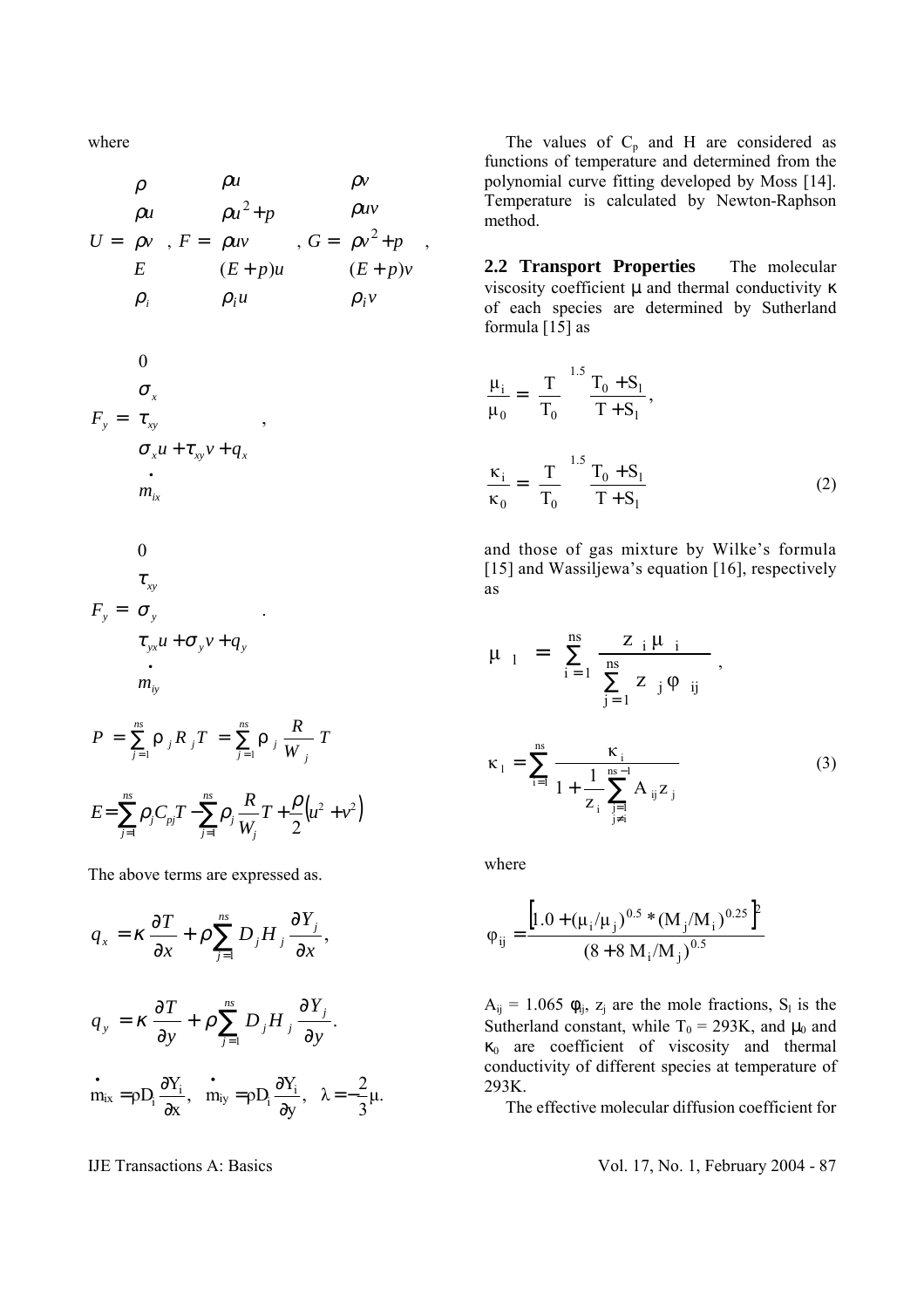where

$$
U = \begin{pmatrix} \rho \\ \rho u \\ \rho v \\ E \\ \rho_i \end{pmatrix}, F = \begin{pmatrix} \rho u \\ \rho u^2 + p \\ \rho u v \\ (E + p) u \\ \rho_i u \end{pmatrix}, G = \begin{pmatrix} \rho v \\ \rho u v \\ \rho v^2 + p \\ (E + p) v \\ (E + p) v \\ \rho_i v \end{pmatrix},
$$
  

$$
F_y = \begin{pmatrix} 0 \\ \sigma_x \\ \tau_{xy} \\ \tau_{xy} \\ \tau_{yx} + \tau_{xy} v + q_x \\ \tau_{yx} \\ \tau_{yx} u + \sigma_y v + q_y \\ \tau_{yx} u + \sigma_y v + q_y \\ \tau_{yy} \\ \tau_{yy} \\ \tau_{yy} \\ \tau_{yy} \\ \tau_{yy} \\ \tau_{yy} \\ \tau_{zz} \\ \tau_{zz} \\ \tau_{zz} \\ \tau_{zz} \\ \tau_{zz} \\ \tau_{zz} \\ \tau_{zz} \\ \tau_{zz} \\ \tau_{yz} \\ \tau_{yz} \\ \tau_{yz} \\ \tau_{yz} \\ \tau_{yz} \\ \tau_{yz} \\ \tau_{yz} \\ \tau_{yz} \\ \tau_{yz} \\ \tau_{yz} \\ \tau_{yz} \\ \tau_{yz} \\ \tau_{yz} \\ \tau_{yz} \\ \tau_{yz} \\ \tau_{yz} \\ \tau_{yz} \\ \tau_{yz} \\ \tau_{yz} \\ \tau_{yz} \\ \tau_{yz} \\ \tau_{yz} \\ \tau_{yz} \\ \tau_{yz} \\ \tau_{yz} \\ \tau_{yz} \\ \tau_{yz} \\ \tau_{yz} \\ \tau_{yz} \\ \tau_{yz} \\ \tau_{yz} \\ \tau_{yz} \\ \tau_{yz} \\ \tau_{zx} \\ \tau_{zx} \\ \tau_{zx} \\ \tau_{zx} \\ \tau_{zx} \\ \tau_{zx} \\ \tau_{zx} \\ \tau_{zx} \\ \tau_{zx} \\ \tau_{zx} \\ \tau_{zx} \\ \tau_{zx} \\ \tau_{zx} \\ \tau_{zx} \\ \tau_{zx} \\ \tau_{zx} \\ \tau_{zx} \\ \tau_{zx} \\ \tau_{zx} \\ \tau_{zx} \\ \tau_{zx} \\ \tau_{zx} \\ \tau_{zx} \\ \tau_{zx} \\ \tau_{zx} \\ \tau_{zx} \\ \tau_{zx} \\ \tau_{zx} \\ \tau_{zx} \\ \tau_{zx} \\ \tau_{zx} \\ \tau_{zx} \\ \tau_{zx} \\ \tau_{zx} \\ \tau_{zx} \\ \tau_{zx} \\ \tau_{zx} \\ \tau_{zx} \\ \tau_{zx} \\ \tau_{zx} \\ \tau_{zx} \\ \tau_{zx} \\ \tau_{zx} \\ \tau_{zx} \\ \tau
$$

The above terms are expressed as.

*j*

 $j=1$   $VV_j$ 

 $\sum_{j=1}^{ns} \overline{D}_j \overline{H}_j \frac{\partial \overline{D}_j}{\partial \overline{D}_j}$ + ∂  $=\kappa \frac{\partial T}{\partial x} + \rho \sum^{n s}$ *j j*  $\partial x$ <sup> *i*</sup>  $\sum_{j=1}^{N} D_j P_j$  *j*  $\partial x$ *Y*  $D<sub>i</sub>H$ *x T q* 1  $\kappa \frac{\partial I}{\partial t} + \rho \sum D_i H_i \frac{\partial I_i}{\partial t}$  $\sum_{j=1}^{ns} \boldsymbol{D}_j \boldsymbol{H}_j \, \frac{\partial \boldsymbol{\beta}}{\partial \boldsymbol{\beta}}$ + ∂  $=\kappa \frac{\partial T}{\partial x} + \rho \sum^{n s}$ *j j*  $y = \sqrt{\frac{\partial y}{\partial y}} + \frac{\rho}{\frac{\rho}{\rho}} \sum_{j=1}^{N} b_j H_j \frac{\partial y}{\partial y}$ *Y*  $D<sub>i</sub>H$ *y T q* 1  $\kappa \frac{\partial I}{\partial t} + \rho \sum_i D_i H_i \frac{\partial I_i}{\partial t_i}$ . µ. 3  $\lambda = -\frac{2}{3}$ y  $\frac{\partial Y_i}{\partial y} = \rho D_i \frac{\partial Y_i}{\partial y}$ x  $\mathbf{m}_{ix} = \rho \mathbf{D}_i \frac{\partial Y_i}{\partial x}, \quad \mathbf{\dot{m}}_{iy} = \rho \mathbf{D}_i \frac{\partial Y_i}{\partial y}, \quad \lambda = -$ 

The values of  $C_p$  and H are considered as functions of temperature and determined from the polynomial curve fitting developed by Moss [14]. Temperature is calculated by Newton-Raphson method.

**2.2 Transport Properties** The molecular viscosity coefficient  $\mu$  and thermal conductivity κ of each species are determined by Sutherland formula [15] as

$$
\frac{\mu_i}{\mu_0} = \left(\frac{T}{T_0}\right)^{1.5} \frac{T_0 + S_1}{T + S_1},
$$
\n
$$
\frac{\kappa_i}{\kappa_0} = \left(\frac{T}{T_0}\right)^{1.5} \frac{T_0 + S_1}{T + S_1}
$$
\n(2)

and those of gas mixture by Wilke's formula [15] and Wassiljewa's equation  $[16]$ , respectively as

$$
\mu_{1} = \sum_{i=1}^{ns} \frac{z_{i} \mu_{i}}{\sum_{j=1}^{ns} z_{j} \varphi_{ij}},
$$
  

$$
\kappa_{1} = \sum_{i=1}^{ns} \frac{\kappa_{i}}{1 + \frac{1}{z_{i}} \sum_{j=1}^{ns-1} A_{ij} z_{j}}
$$
(3)

where

 $\overline{\phantom{a}}$ 

 $\overline{a}$ 

$$
\varphi_{ij} = \frac{\left[1.0 + (\mu_i/\mu_j)^{0.5} * (M_j/M_i)^{0.25}\right]^2}{(8 + 8 M_i/M_j)^{0.5}}
$$

 $A_{ij} = 1.065 \phi_{ij}$ ,  $z_j$  are the mole fractions,  $S_l$  is the Sutherland constant, while  $T_0 = 293K$ , and  $\mu_0$  and  $\kappa_0$  are coefficient of viscosity and thermal conductivity of different species at temperature of 293K.

The effective molecular diffusion coefficient for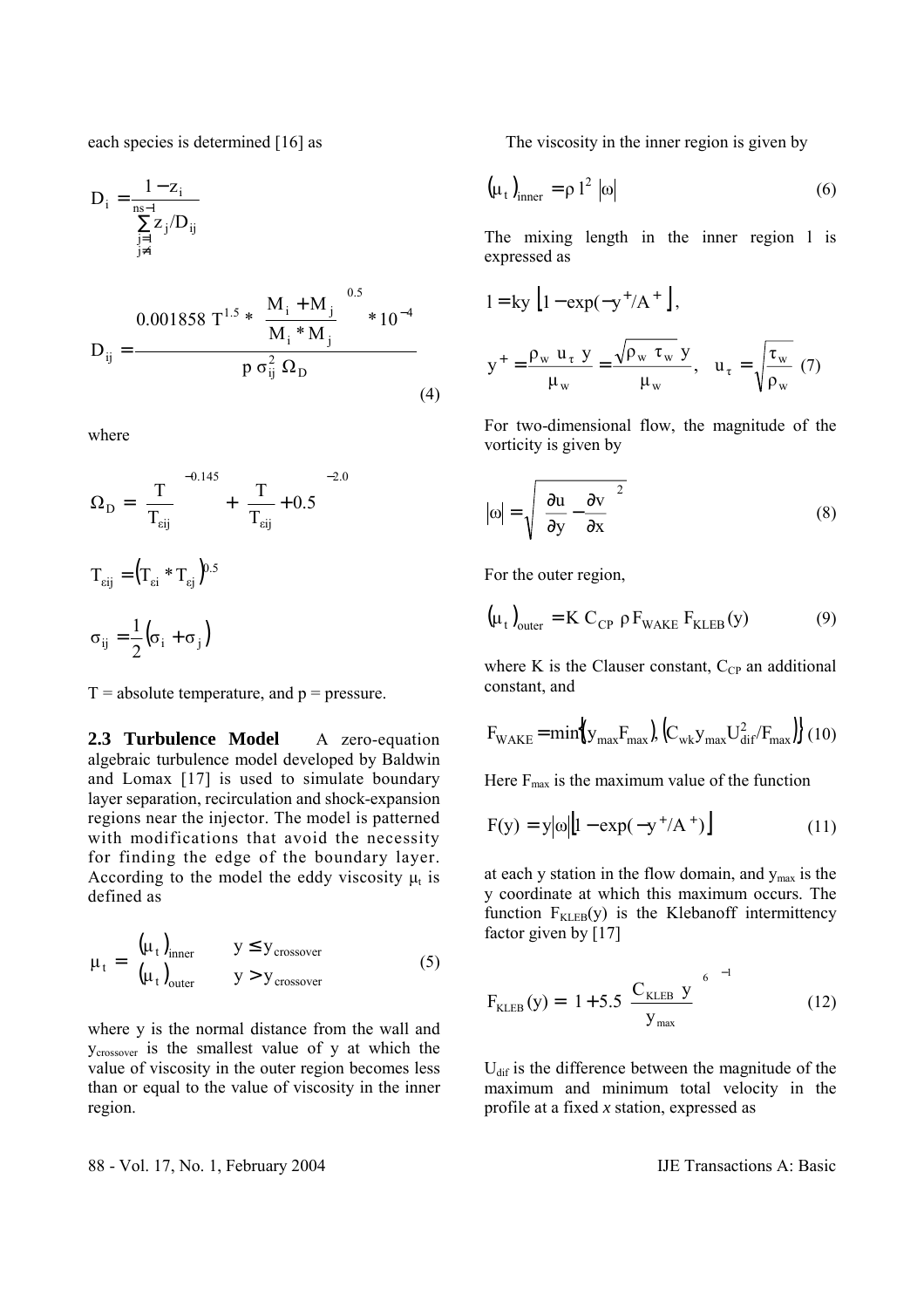each species is determined [16] as

$$
D_{i} = \frac{1 - z_{i}}{\sum_{j=1}^{ns-1} z_{j}/D_{ij}}
$$
  

$$
D_{ij} = \frac{0.001858 \text{ T}^{1.5} * \left(\frac{M_{i} + M_{j}}{M_{i} * M_{j}}\right)^{0.5} * 10^{-4}}{2.2}
$$

2 p σ $_{\rm ij}^2$  Ω

(4)

D

where

$$
\Omega_{\rm D} = \left(\frac{T}{T_{\rm eij}}\right)^{-0.145} + \left(\frac{T}{T_{\rm eij}} + 0.5\right)^{-2.0}
$$

$$
T_{\rm eij} = (T_{\rm ei} * T_{\rm ej})^{0.5}
$$

$$
\sigma_{\rm ij} = \frac{1}{2} (\sigma_{\rm i} + \sigma_{\rm j})
$$

 $T = absolute temperature, and p = pressure.$ 

**2.3 Turbulence Model** A zero-equation algebraic turbulence model developed by Baldwin and Lomax [17] is used to simulate boundary layer separation, recirculation and shock-expansion regions near the injector. The model is patterned with modifications that avoid the necessity for finding the edge of the boundary layer. According to the model the eddy viscosity  $\mu_t$  is defined as

$$
\mu_{t} = \begin{cases} (\mu_{t})_{\text{inner}} & y \leq y_{\text{crossover}} \\ (\mu_{t})_{\text{outer}} & y > y_{\text{crossover}} \end{cases}
$$
(5)

where y is the normal distance from the wall and ycrossover is the smallest value of y at which the value of viscosity in the outer region becomes less than or equal to the value of viscosity in the inner region.

The viscosity in the inner region is given by

$$
\left(\mu_t\right)_{\text{inner}} = \rho \, 1^2 \, |\omega| \tag{6}
$$

The mixing length in the inner region l is expressed as

$$
1 = ky \left[ 1 - \exp(-y^+/A^+) \right],
$$
  

$$
y^+ = \frac{\rho_w u_\tau y}{\mu_w} = \frac{\sqrt{\rho_w \tau_w} y}{\mu_w}, \quad u_\tau = \sqrt{\frac{\tau_w}{\rho_w}} \tag{7}
$$

For two-dimensional flow, the magnitude of the vorticity is given by

$$
|\omega| = \sqrt{\left(\frac{\partial u}{\partial y} - \frac{\partial v}{\partial x}\right)^2}
$$
 (8)

For the outer region,

$$
(\mu_t)_{\text{outer}} = \text{K C}_{\text{CP}} \rho \, F_{\text{WAKE}} \, F_{\text{KLEB}}(y) \tag{9}
$$

where K is the Clauser constant,  $C_{CP}$  an additional constant, and

$$
F_{\text{WAKE}} = \min\left(y_{\text{max}} F_{\text{max}}\right), \left(C_{\text{wk}} y_{\text{max}} U_{\text{dif}}^2 / F_{\text{max}}\right)\right\} (10)
$$

Here  $F_{\text{max}}$  is the maximum value of the function

$$
F(y) = y\left|\omega\right|\left[1 - \exp(-y^+/A^+)\right] \tag{11}
$$

at each y station in the flow domain, and  $y_{\text{max}}$  is the y coordinate at which this maximum occurs. The function  $F_{KLEB}(y)$  is the Klebanoff intermittency factor given by [17]

$$
F_{\text{KLEB}}(y) = \left[1 + 5.5 \left(\frac{C_{\text{KLEB}}}{y_{\text{max}}}\right)^6\right]^{-1}
$$
 (12)

 $U_{\text{dif}}$  is the difference between the magnitude of the maximum and minimum total velocity in the profile at a fixed *x* station, expressed as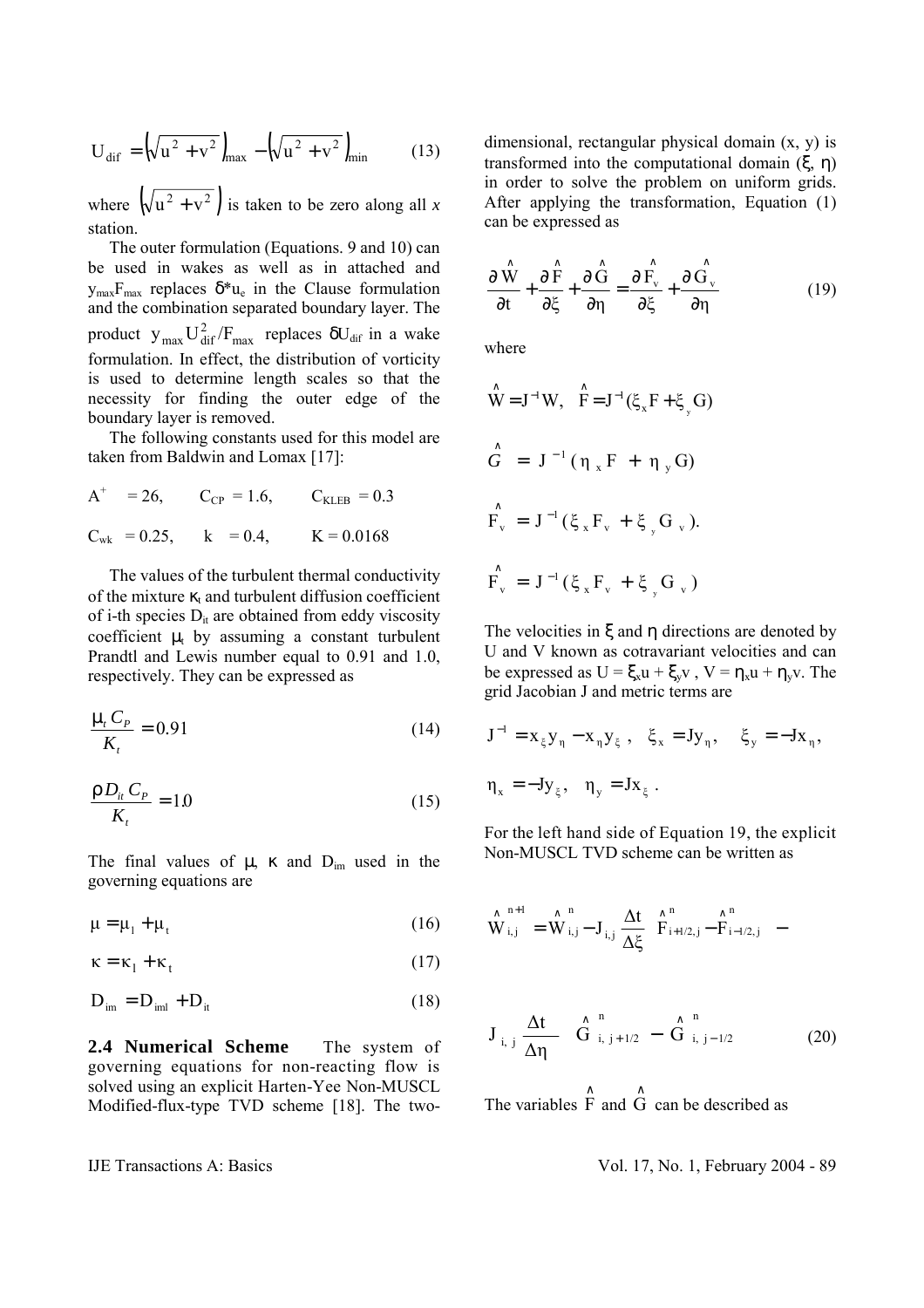$$
U_{\text{dif}} = \left(\sqrt{u^2 + v^2}\right)_{\text{max}} - \left(\sqrt{u^2 + v^2}\right)_{\text{min}} \tag{13}
$$

where  $(\sqrt{u^2 + v^2})$  is taken to be zero along all *x* station.

 The outer formulation (Equations. 9 and 10) can be used in wakes as well as in attached and  $y_{\text{max}}F_{\text{max}}$  replaces  $\delta^*u_e$  in the Clause formulation and the combination separated boundary layer. The product  $y_{max} U_{diff}^2 / F_{max}$  replaces  $\delta U_{diff}$  in a wake formulation. In effect, the distribution of vorticity is used to determine length scales so that the necessity for finding the outer edge of the boundary layer is removed.

 The following constants used for this model are taken from Baldwin and Lomax [17]:

$$
A^+
$$
 = 26,  $C_{CP}$  = 1.6,  $C_{KLEB}$  = 0.3  
 $C_{wk}$  = 0.25,  $k$  = 0.4,  $K$  = 0.0168

 The values of the turbulent thermal conductivity of the mixture  $\kappa_t$  and turbulent diffusion coefficient of i-th species  $D_{it}$  are obtained from eddy viscosity coefficient  $\mu$ <sub>t</sub> by assuming a constant turbulent Prandtl and Lewis number equal to 0.91 and 1.0, respectively. They can be expressed as

$$
\frac{\mu_{\iota} C_{P}}{K_{\iota}} = 0.91\tag{14}
$$

$$
\frac{\rho D_i C_p}{K_t} = 1.0\tag{15}
$$

The final values of  $\mu$ ,  $\kappa$  and  $D_{im}$  used in the governing equations are

$$
\mu = \mu_1 + \mu_t \tag{16}
$$

 $\kappa = \kappa_1 + \kappa_t$  (17)

$$
D_{\text{im}} = D_{\text{iml}} + D_{\text{it}} \tag{18}
$$

2.4 **Numerical Scheme** The system of governing equations for non-reacting flow is solved using an explicit Harten-Yee Non-MUSCL Modified-flux-type TVD scheme [18]. The two-

dimensional, rectangular physical domain (x, y) is transformed into the computational domain (ξ, η) in order to solve the problem on uniform grids. After applying the transformation, Equation (1) can be expressed as

$$
\frac{\partial \hat{W}}{\partial t} + \frac{\partial \hat{F}}{\partial \xi} + \frac{\partial \hat{G}}{\partial \eta} = \frac{\partial \hat{F_v}}{\partial \xi} + \frac{\partial \hat{G_v}}{\partial \eta}
$$
(19)

where

$$
\hat{W} = J^{-1}W, \quad \hat{F} = J^{-1}(\xi_x F + \xi_y G)
$$
  

$$
\hat{G} = J^{-1}(\eta_x F + \eta_y G)
$$
  

$$
\hat{F_v} = J^{-1}(\xi_x F_v + \xi_y G_v).
$$

The velocities in ξ and η directions are denoted by U and V known as cotravariant velocities and can be expressed as  $U = \xi_x u + \xi_y v$ ,  $V = \eta_x u + \eta_y v$ . The grid Jacobian J and metric terms are

$$
J^{-1} = x_{\xi} y_{\eta} - x_{\eta} y_{\xi} , \quad \xi_{x} = J y_{\eta}, \quad \xi_{y} = -J x_{\eta},
$$
  

$$
\eta_{x} = -J y_{\xi}, \quad \eta_{y} = J x_{\xi}.
$$

For the left hand side of Equation 19, the explicit Non-MUSCL TVD scheme can be written as

$$
\hat{\hat{W}}_{i,j}^{n+1} = \hat{\hat{W}}_{i,j}^{n} - J_{i,j} \frac{\Delta t}{\Delta \xi} \left( \hat{\hat{F}}_{i+1/2,j}^{n} - \hat{\hat{F}}_{i-1/2,j}^{n} \right) -
$$
  

$$
J_{i,j} \frac{\Delta t}{\Delta \eta} \left( \hat{\hat{G}}_{i,j+1/2}^{n} - \hat{\hat{G}}_{i,j-1/2}^{n} \right)
$$
(20)

The variables  $\hat{F}$  and  $\hat{G}$  can be described as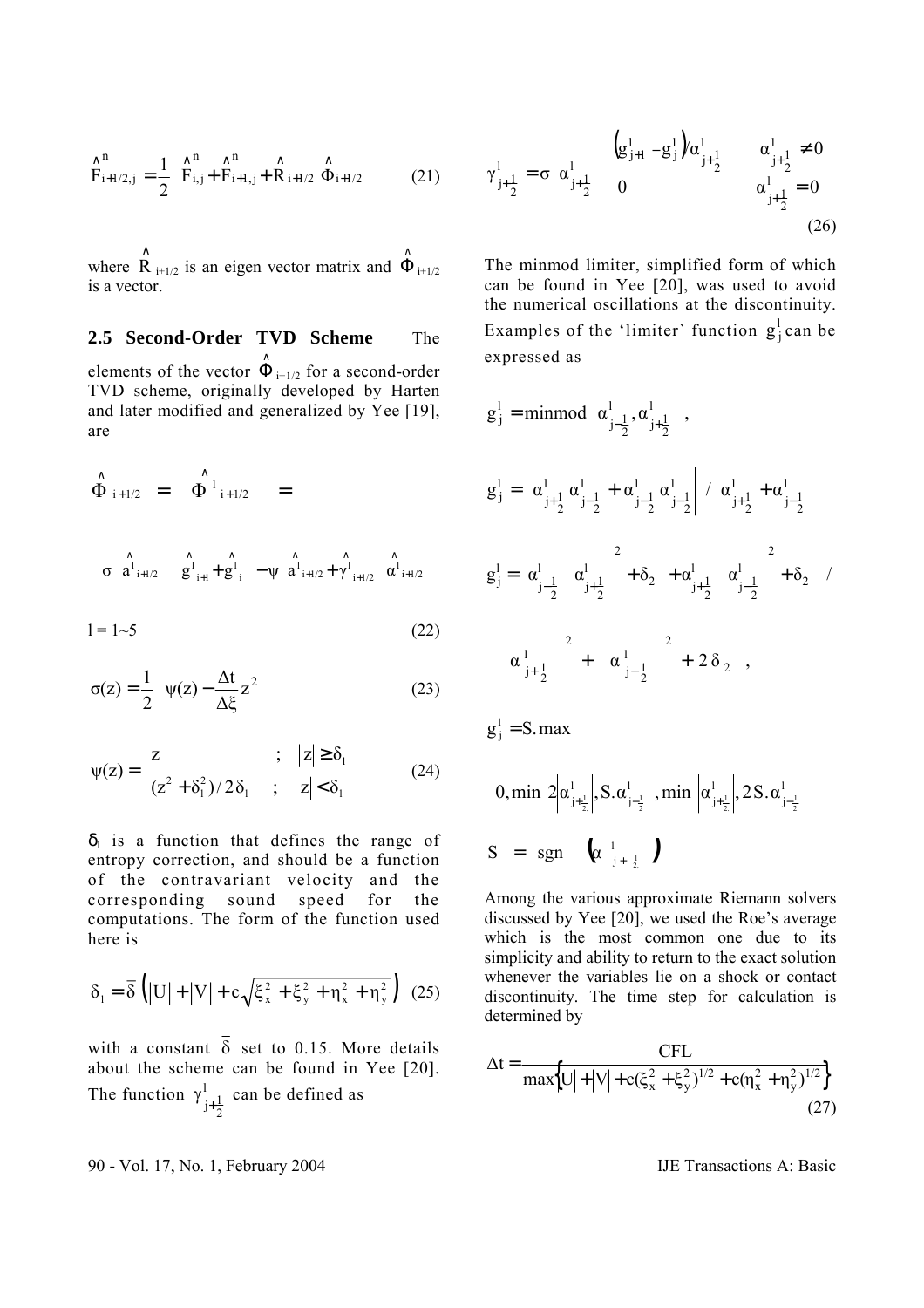$$
\hat{F}_{i+1/2,j}^{n} = \frac{1}{2} \left( \hat{F}_{i,j}^{n} + \hat{F}_{i+1,j}^{n} + \hat{R}_{i+1/2}^{n} \hat{\Phi}_{i+1/2}^{n} \right)
$$
(21)

where  $\hat{R}_{i+1/2}$  is an eigen vector matrix and  $\hat{\Phi}_{i+1/2}$ is a vector.

# **2.5 Second-Order TVD Scheme** The

elements of the vector  $\hat{\Phi}_{i+1/2}$  for a second-order TVD scheme, originally developed by Harten and later modified and generalized by Yee [19], are

$$
\hat{\Phi}_{i+1/2} = \left\{ \hat{\Phi}^{1}_{i+1/2} \right\} = \left\{ \sigma \left( \hat{a}^{1}_{i+1/2} \right) \left( \hat{g}^{1}_{i+1} + \hat{g}^{1}_{i} \right) - \psi \left( \hat{a}^{1}_{i+1/2} + \hat{\gamma}^{1}_{i+1/2} \right) \hat{\alpha}^{1}_{i+1/2} \right\}
$$
\n
$$
1 = 1 \sim 5
$$
\n(22)

$$
\sigma(z) = \frac{1}{2} \left\{ \psi(z) - \frac{\Delta t}{\Delta \xi} z^2 \right\}
$$
 (23)

$$
\psi(z) = \begin{cases} z & ; & |z| \ge \delta_1 \\ (z^2 + \delta_1^2)/2\delta_1 & ; & |z| < \delta_1 \end{cases}
$$
 (24)

 $\delta_1$  is a function that defines the range of entropy correction, and should be a function of the contravariant velocity and the corresponding sound speed for the computations. The form of the function used here is

$$
\delta_1 = \overline{\delta} \left( |U| + |V| + c \sqrt{\xi_x^2 + \xi_y^2 + \eta_x^2 + \eta_y^2} \right) (25)
$$

with a constant  $\overline{\delta}$  set to 0.15. More details about the scheme can be found in Yee [20]. The function  $\gamma^1$  $\gamma_{j+\frac{1}{2}}^{l}$  can be defined as

$$
\gamma_{j+\frac{1}{2}}^{l} = \sigma \left( \alpha_{j+\frac{1}{2}}^{l} \right) \begin{cases} \left( g_{j+l}^{l} - g_{j}^{l} \right) / \alpha_{j+\frac{1}{2}}^{l} & \alpha_{j+\frac{1}{2}}^{l} \neq 0 \\ 0 & \alpha_{j+\frac{1}{2}}^{l} = 0 \end{cases}
$$
\n(26)

The minmod limiter, simplified form of which can be found in Yee [20], was used to avoid the numerical oscillations at the discontinuity. Examples of the 'limiter' function  $g_i^l$  can be expressed as

$$
g_{j}^{1} = \min \text{mod} \left( \alpha_{j-\frac{1}{2}}^{1}, \alpha_{j+\frac{1}{2}}^{1} \right),
$$
\n
$$
g_{j}^{1} = \left( \alpha_{j+\frac{1}{2}}^{1} \alpha_{j-\frac{1}{2}}^{1} + \alpha_{j-\frac{1}{2}}^{1} \alpha_{j-\frac{1}{2}}^{1} \right) \left( \alpha_{j+\frac{1}{2}}^{1} + \alpha_{j-\frac{1}{2}}^{1} \right)
$$
\n
$$
g_{j}^{1} = \left\{ \alpha_{j-\frac{1}{2}}^{1} \left[ \left( \alpha_{j+\frac{1}{2}}^{1} \right)^{2} + \delta_{2} \right] + \alpha_{j+\frac{1}{2}}^{1} \left[ \left( \alpha_{j-\frac{1}{2}}^{1} \right)^{2} + \delta_{2} \right] \right\}
$$
\n
$$
\left[ \left( \alpha_{j+\frac{1}{2}}^{1} \right)^{2} + \left( \alpha_{j-\frac{1}{2}}^{1} \right)^{2} + 2 \delta_{2} \right],
$$
\n
$$
g_{j}^{1} = S \text{ max}
$$
\n
$$
\left\{ 0, \min \left( 2 \left| \alpha_{j+\frac{1}{2}}^{1} \right|, S \text{.} \alpha_{j-\frac{1}{2}}^{1} \right) \min \left( \left| \alpha_{j+\frac{1}{2}}^{1} \right|, 2 S \text{.} \alpha_{j-\frac{1}{2}}^{1} \right) \right\}
$$
\n
$$
S = sgn \left( \alpha_{j+\frac{1}{2}}^{1} \right)
$$

Among the various approximate Riemann solvers discussed by Yee  $[20]$ , we used the Roe's average which is the most common one due to its simplicity and ability to return to the exact solution whenever the variables lie on a shock or contact discontinuity. The time step for calculation is determined by

$$
\Delta t = \frac{CFL}{\max\left\{U\right| + |V| + c(\xi_x^2 + \xi_y^2)^{1/2} + c(\eta_x^2 + \eta_y^2)^{1/2}\right\}}
$$
(27)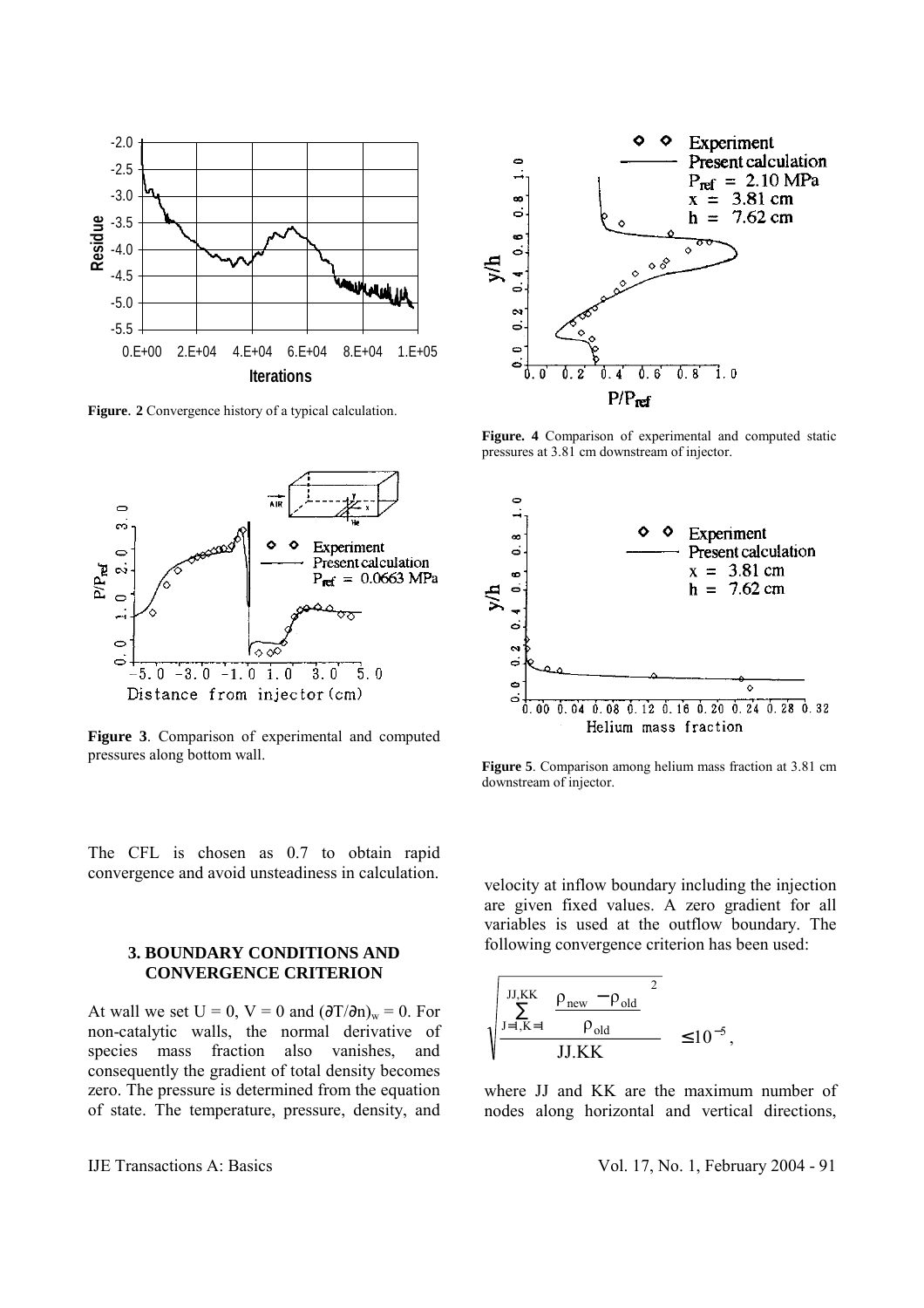

**Figure**. **2** Convergence history of a typical calculation.



**Figure 3**. Comparison of experimental and computed pressures along bottom wall.

The CFL is chosen as 0.7 to obtain rapid convergence and avoid unsteadiness in calculation.

# **3. BOUNDARY CONDITIONS AND CONVERGENCE CRITERION**

At wall we set U = 0, V = 0 and  $(\partial T/\partial n)_w = 0$ . For non-catalytic walls, the normal derivative of species mass fraction also vanishes, and consequently the gradient of total density becomes zero. The pressure is determined from the equation of state. The temperature, pressure, density, and

**IJE Transactions A: Basics** 



**Figure. 4** Comparison of experimental and computed static pressures at 3.81 cm downstream of injector.



**Figure 5**. Comparison among helium mass fraction at 3.81 cm downstream of injector.

velocity at inflow boundary including the injection are given fixed values. A zero gradient for all variables is used at the outflow boundary. The following convergence criterion has been used:

$$
\sqrt{\frac{\sum\limits_{J=1,K=1}^{JJ,KK}\left(\frac{\rho_{new}-\rho_{old}}{\rho_{old}}\right)^2}{JJ.KK}} \leq 10^{-5}\,,
$$

where JJ and KK are the maximum number of nodes along horizontal and vertical directions,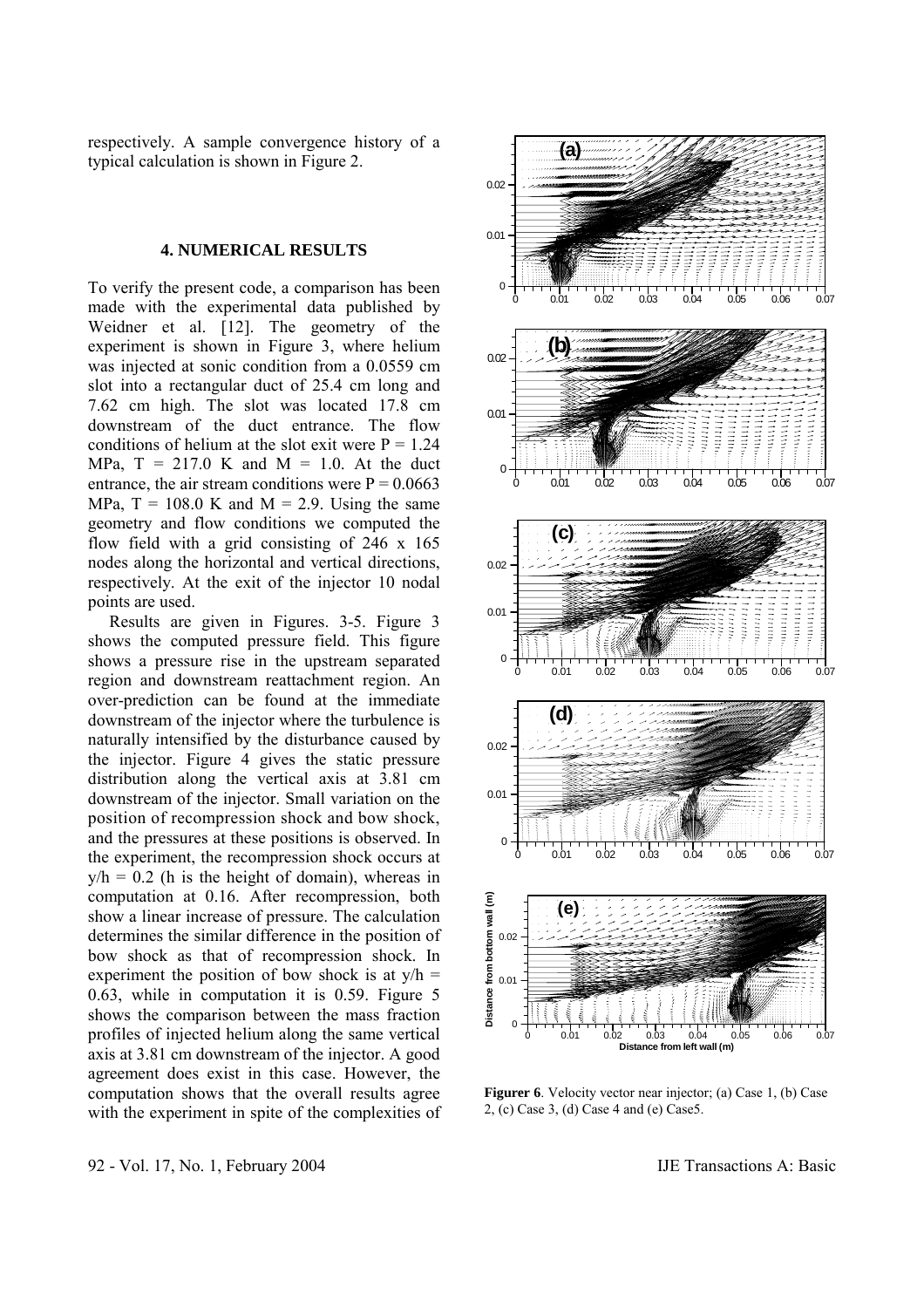respectively. A sample convergence history of a typical calculation is shown in Figure 2.

# **4. NUMERICAL RESULTS**

To verify the present code, a comparison has been made with the experimental data published by Weidner et al. [12]. The geometry of the experiment is shown in Figure 3, where helium was injected at sonic condition from a 0.0559 cm slot into a rectangular duct of 25.4 cm long and 7.62 cm high. The slot was located 17.8 cm downstream of the duct entrance. The flow conditions of helium at the slot exit were  $P = 1.24$ MPa,  $T = 217.0$  K and  $M = 1.0$ . At the duct entrance, the air stream conditions were  $P = 0.0663$ MPa,  $T = 108.0$  K and  $M = 2.9$ . Using the same geometry and flow conditions we computed the flow field with a grid consisting of 246 x 165 nodes along the horizontal and vertical directions, respectively. At the exit of the injector 10 nodal points are used.

 Results are given in Figures. 3-5. Figure 3 shows the computed pressure field. This figure shows a pressure rise in the upstream separated region and downstream reattachment region. An over-prediction can be found at the immediate downstream of the injector where the turbulence is naturally intensified by the disturbance caused by the injector. Figure 4 gives the static pressure distribution along the vertical axis at 3.81 cm downstream of the injector. Small variation on the position of recompression shock and bow shock, and the pressures at these positions is observed. In the experiment, the recompression shock occurs at  $y/h = 0.2$  (h is the height of domain), whereas in computation at 0.16. After recompression, both show a linear increase of pressure. The calculation determines the similar difference in the position of bow shock as that of recompression shock. In experiment the position of bow shock is at  $y/h =$ 0.63, while in computation it is 0.59. Figure 5 shows the comparison between the mass fraction profiles of injected helium along the same vertical axis at 3.81 cm downstream of the injector. A good agreement does exist in this case. However, the computation shows that the overall results agree with the experiment in spite of the complexities of



**Figurer 6**. Velocity vector near injector; (a) Case 1, (b) Case 2, (c) Case 3, (d) Case 4 and (e) Case5.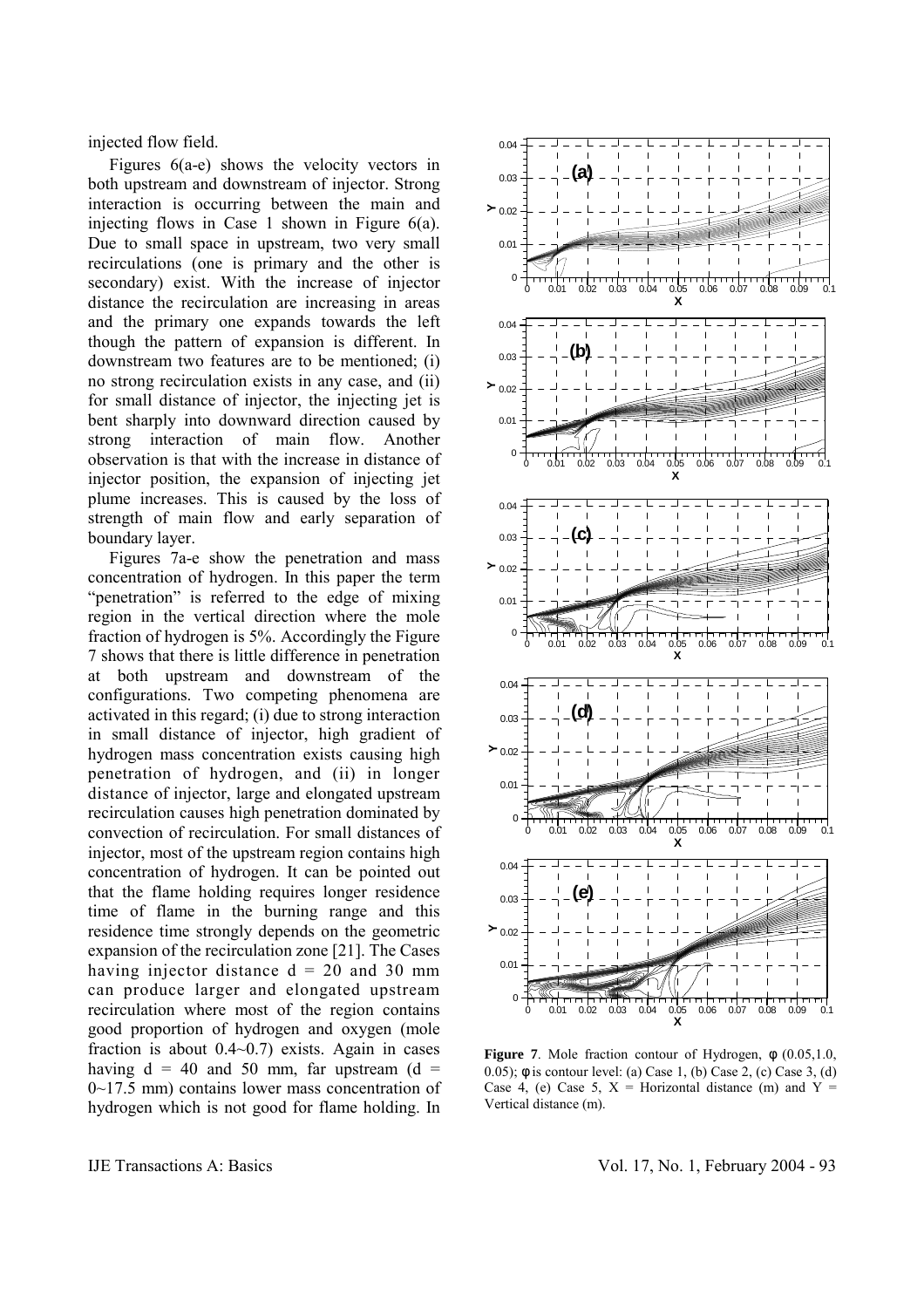injected flow field.

 Figures 6(a-e) shows the velocity vectors in both upstream and downstream of injector. Strong interaction is occurring between the main and injecting flows in Case 1 shown in Figure 6(a). Due to small space in upstream, two very small recirculations (one is primary and the other is secondary) exist. With the increase of injector distance the recirculation are increasing in areas and the primary one expands towards the left though the pattern of expansion is different. In downstream two features are to be mentioned; (i) no strong recirculation exists in any case, and (ii) for small distance of injector, the injecting jet is bent sharply into downward direction caused by strong interaction of main flow. Another observation is that with the increase in distance of injector position, the expansion of injecting jet plume increases. This is caused by the loss of strength of main flow and early separation of boundary layer.

 Figures 7a-e show the penetration and mass concentration of hydrogen. In this paper the term "penetration" is referred to the edge of mixing region in the vertical direction where the mole fraction of hydrogen is 5%. Accordingly the Figure 7 shows that there is little difference in penetration at both upstream and downstream of the configurations. Two competing phenomena are activated in this regard; (i) due to strong interaction in small distance of injector, high gradient of hydrogen mass concentration exists causing high penetration of hydrogen, and (ii) in longer distance of injector, large and elongated upstream recirculation causes high penetration dominated by convection of recirculation. For small distances of injector, most of the upstream region contains high concentration of hydrogen. It can be pointed out that the flame holding requires longer residence time of flame in the burning range and this residence time strongly depends on the geometric expansion of the recirculation zone [21]. The Cases having injector distance  $d = 20$  and 30 mm can produce larger and elongated upstream recirculation where most of the region contains good proportion of hydrogen and oxygen (mole fraction is about 0.4~0.7) exists. Again in cases having  $d = 40$  and 50 mm, far upstream  $(d =$ 0~17.5 mm) contains lower mass concentration of hydrogen which is not good for flame holding. In



**Figure 7**. Mole fraction contour of Hydrogen, φ (0.05,1.0, 0.05); φ is contour level: (a) Case 1, (b) Case 2, (c) Case 3, (d) Case 4, (e) Case 5,  $X =$  Horizontal distance (m) and  $Y =$ Vertical distance (m).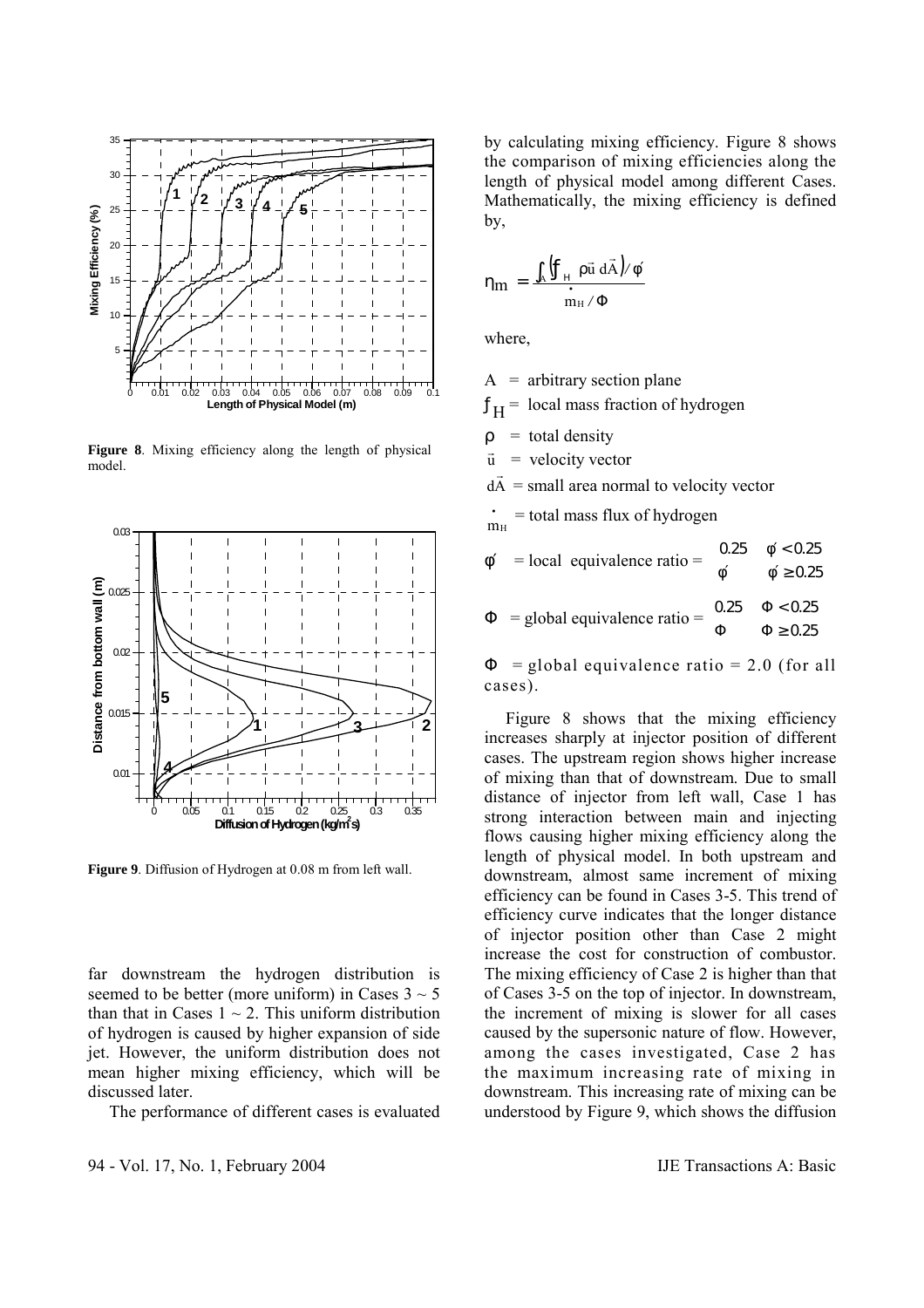

**Figure 8**. Mixing efficiency along the length of physical model.



**Figure 9**. Diffusion of Hydrogen at 0.08 m from left wall.

far downstream the hydrogen distribution is seemed to be better (more uniform) in Cases  $3 \sim 5$ than that in Cases  $1 \sim 2$ . This uniform distribution of hydrogen is caused by higher expansion of side jet. However, the uniform distribution does not mean higher mixing efficiency, which will be discussed later.

The performance of different cases is evaluated

$$
\eta_m = \frac{\int_A (f_{\rm H} \rho \vec{u} \, d\vec{A}) / \phi'}{\hat{m}_H / \Phi}
$$

where,

 $A =$ arbitrary section plane

 $f_{\text{H}}$  = local mass fraction of hydrogen

$$
\rho = \text{total density}
$$

u r = velocity vector

 $d\vec{A}$  = small area normal to velocity vector

 $m_H$  $=$  total mass flux of hydrogen

| $\phi'$ = local equivalence ratio = $\begin{cases} 0.25 & \phi' < 0.25 \\ \phi' & \phi' \ge 0.25 \end{cases}$ |  |
|---------------------------------------------------------------------------------------------------------------|--|
| $\Phi$ = global equivalence ratio = $\begin{cases} 0.25 & \Phi < 0.25 \\ \Phi & \Phi \ge 0.25 \end{cases}$    |  |

 $\Phi$  = global equivalence ratio = 2.0 (for all cases).

 Figure 8 shows that the mixing efficiency increases sharply at injector position of different cases. The upstream region shows higher increase of mixing than that of downstream. Due to small distance of injector from left wall, Case 1 has strong interaction between main and injecting flows causing higher mixing efficiency along the length of physical model. In both upstream and downstream, almost same increment of mixing efficiency can be found in Cases 3-5. This trend of efficiency curve indicates that the longer distance of injector position other than Case 2 might increase the cost for construction of combustor. The mixing efficiency of Case 2 is higher than that of Cases 3-5 on the top of injector. In downstream, the increment of mixing is slower for all cases caused by the supersonic nature of flow. However, among the cases investigated, Case 2 has the maximum increasing rate of mixing in downstream. This increasing rate of mixing can be understood by Figure 9, which shows the diffusion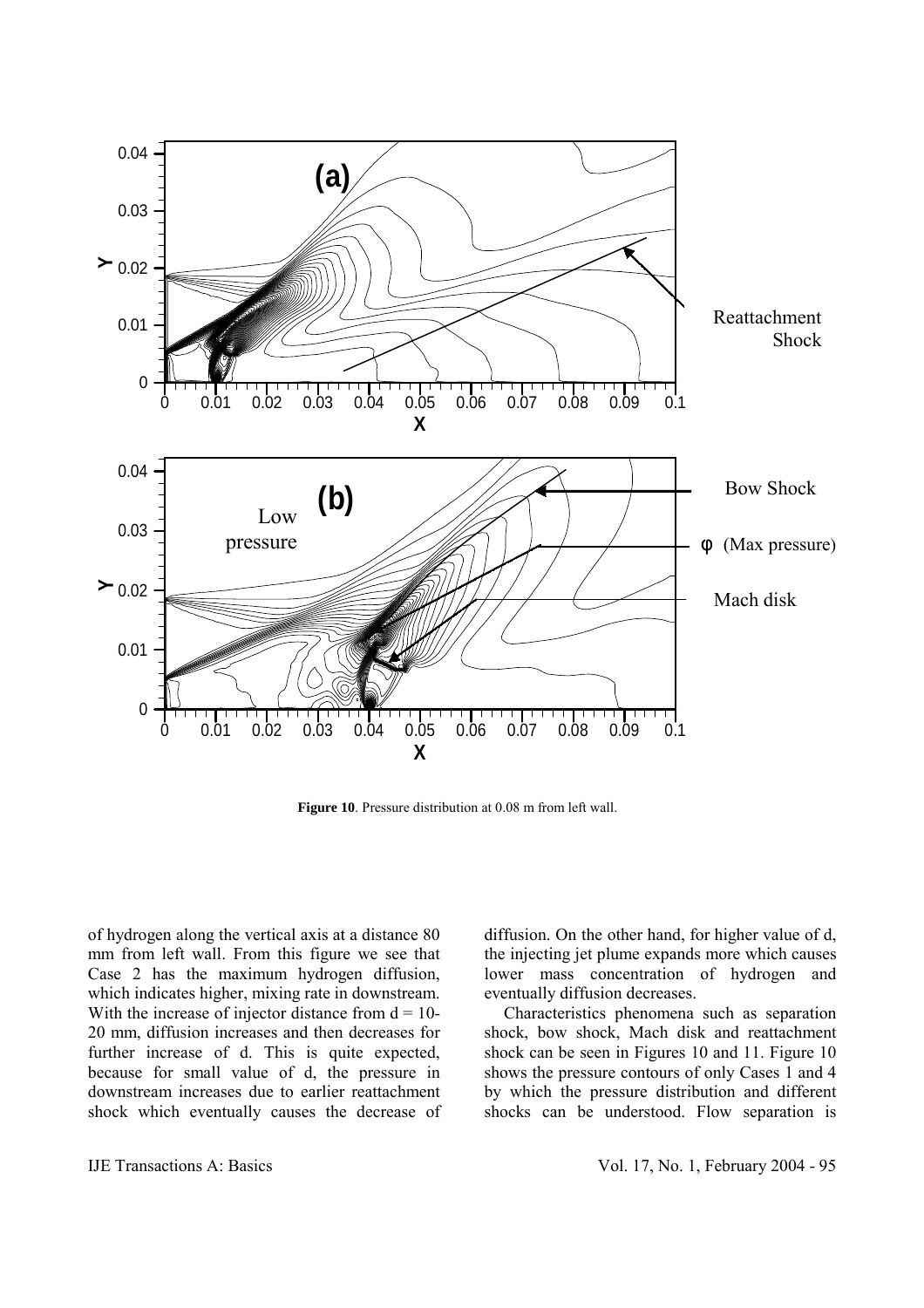

**Figure 10**. Pressure distribution at 0.08 m from left wall.

of hydrogen along the vertical axis at a distance 80 mm from left wall. From this figure we see that Case 2 has the maximum hydrogen diffusion, which indicates higher, mixing rate in downstream. With the increase of injector distance from  $d = 10$ -20 mm, diffusion increases and then decreases for further increase of d. This is quite expected, because for small value of d, the pressure in downstream increases due to earlier reattachment shock which eventually causes the decrease of

diffusion. On the other hand, for higher value of d, the injecting jet plume expands more which causes lower mass concentration of hydrogen and eventually diffusion decreases.

 Characteristics phenomena such as separation shock, bow shock, Mach disk and reattachment shock can be seen in Figures 10 and 11. Figure 10 shows the pressure contours of only Cases 1 and 4 by which the pressure distribution and different shocks can be understood. Flow separation is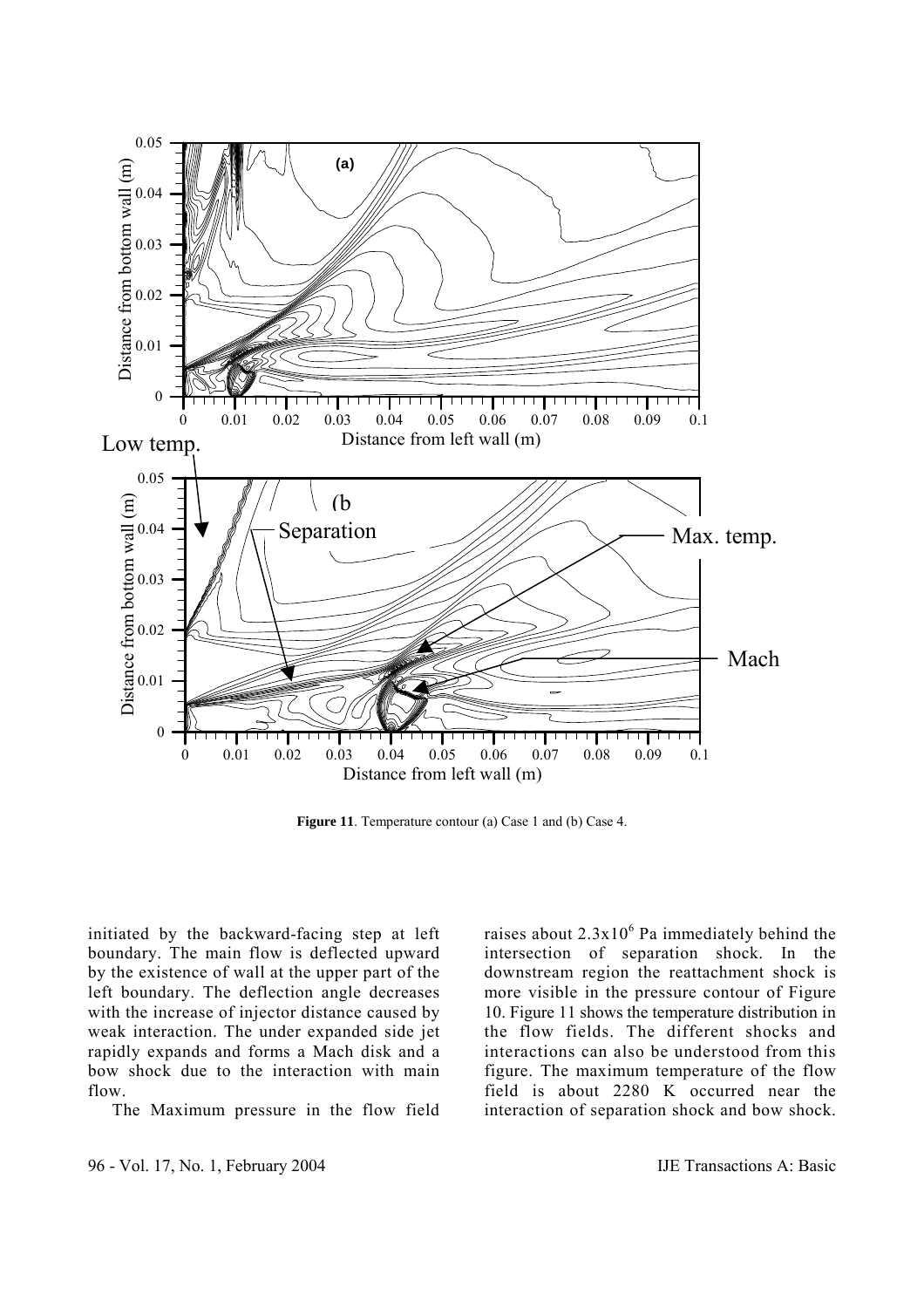

**Figure 11**. Temperature contour (a) Case 1 and (b) Case 4.

initiated by the backward-facing step at left boundary. The main flow is deflected upward by the existence of wall at the upper part of the left boundary. The deflection angle decreases with the increase of injector distance caused by weak interaction. The under expanded side jet rapidly expands and forms a Mach disk and a bow shock due to the interaction with main flow.

The Maximum pressure in the flow field

96 - Vol. 17, No. 1, February 2004 IJE Transactions A: Basic

raises about  $2.3x10^6$  Pa immediately behind the intersection of separation shock. In the downstream region the reattachment shock is more visible in the pressure contour of Figure 10. Figure 11 shows the temperature distribution in the flow fields. The different shocks and interactions can also be understood from this figure. The maximum temperature of the flow field is about 2280 K occurred near the interaction of separation shock and bow shock.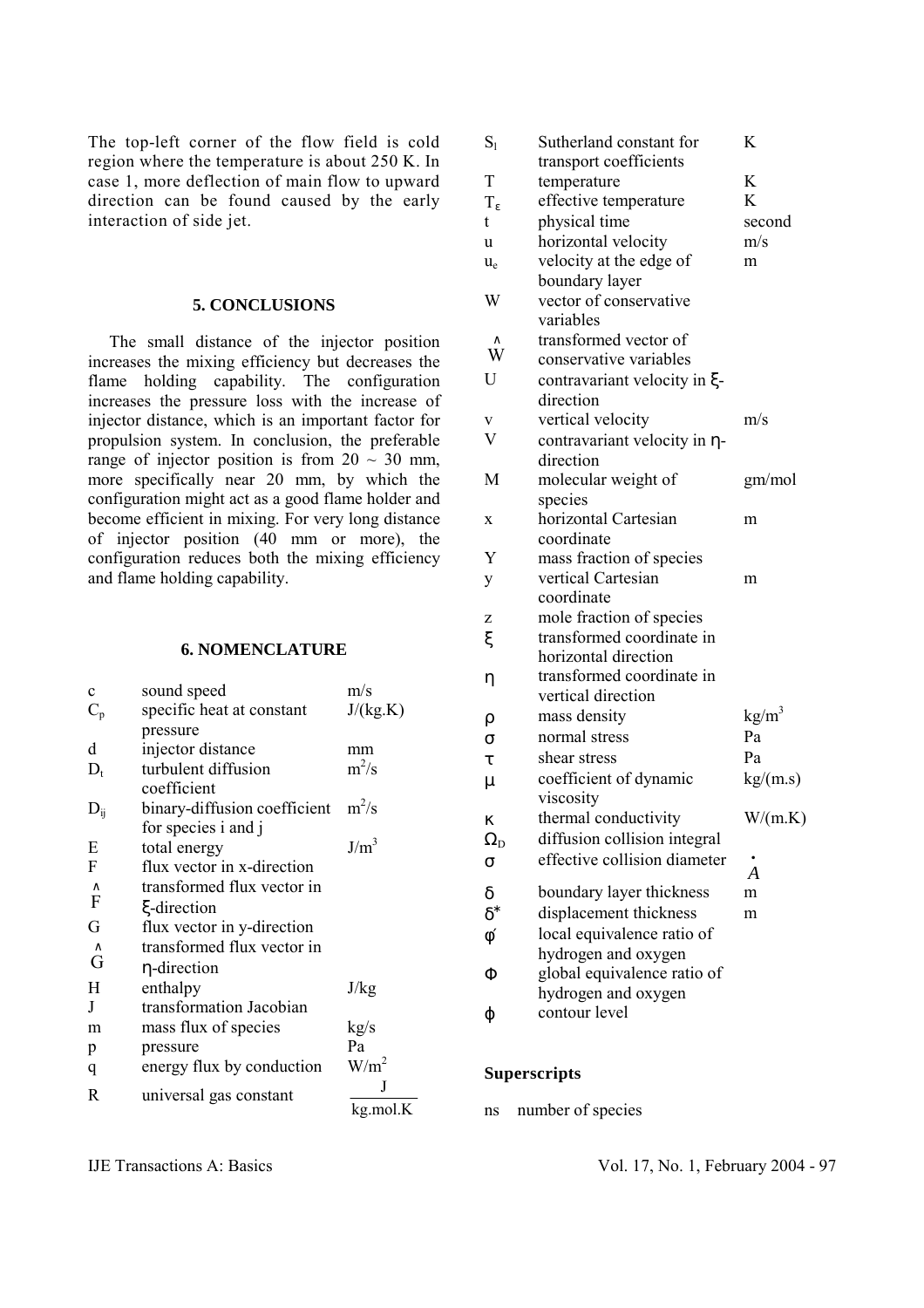The top-left corner of the flow field is cold region where the temperature is about 250 K. In case 1, more deflection of main flow to upward direction can be found caused by the early interaction of side jet.

## **5. CONCLUSIONS**

 The small distance of the injector position increases the mixing efficiency but decreases the flame holding capability. The configuration increases the pressure loss with the increase of injector distance, which is an important factor for propulsion system. In conclusion, the preferable range of injector position is from  $20 \sim 30$  mm, more specifically near 20 mm, by which the configuration might act as a good flame holder and become efficient in mixing. For very long distance of injector position (40 mm or more), the configuration reduces both the mixing efficiency and flame holding capability.

#### **6. NOMENCLATURE**

| c         | sound speed                  | m/s      |
|-----------|------------------------------|----------|
| $C_{p}$   | specific heat at constant    | J/(kg.K) |
|           | pressure                     |          |
| d         | injector distance            | mm       |
| $D_t$     | turbulent diffusion          | $m^2/s$  |
|           | coefficient                  |          |
| $D_{ii}$  | binary-diffusion coefficient | $m^2/s$  |
|           | for species i and j          |          |
| E         | total energy                 | $J/m^3$  |
| F         | flux vector in x-direction   |          |
| Λ         | transformed flux vector in   |          |
| F         | ξ-direction                  |          |
| G         | flux vector in y-direction   |          |
| $\hat{G}$ | transformed flux vector in   |          |
|           | η-direction                  |          |
| H         | enthalpy                     | J/kg     |
| J         | transformation Jacobian      |          |
| m         | mass flux of species         | kg/s     |
| p         | pressure                     | Pa       |
| q         | energy flux by conduction    | $W/m^2$  |
| R         | universal gas constant       | J        |
|           |                              | kg.mol.K |

| $S_1$            | Sutherland constant for      | K                 |
|------------------|------------------------------|-------------------|
|                  | transport coefficients       |                   |
| T                | temperature                  | K                 |
| $T_{\epsilon}$   | effective temperature        | K                 |
| t                | physical time                | second            |
| u                | horizontal velocity          | m/s               |
| $u_{e}$          | velocity at the edge of      | m                 |
|                  | boundary layer               |                   |
| W                | vector of conservative       |                   |
|                  | variables                    |                   |
|                  | transformed vector of        |                   |
| W                | conservative variables       |                   |
| U                | contravariant velocity in ξ- |                   |
|                  | direction                    |                   |
| V                | vertical velocity            | m/s               |
| V                | contravariant velocity in η- |                   |
|                  | direction                    |                   |
| М                | molecular weight of          | gm/mol            |
|                  | species                      |                   |
| X                | horizontal Cartesian         | m                 |
|                  | coordinate                   |                   |
| Y                | mass fraction of species     |                   |
| y                | vertical Cartesian           | m                 |
|                  | coordinate                   |                   |
| Z                | mole fraction of species     |                   |
| ξ                | transformed coordinate in    |                   |
|                  | horizontal direction         |                   |
| η                | transformed coordinate in    |                   |
|                  | vertical direction           |                   |
| ρ                | mass density                 | kg/m <sup>3</sup> |
| σ                | normal stress                | Pa                |
| τ                | shear stress                 | Pa                |
| μ                | coefficient of dynamic       | kg/(m.s)          |
|                  | viscosity                    |                   |
| к                | thermal conductivity         | W/(m.K)           |
| $\Omega_{\rm D}$ | diffusion collision integral |                   |
| $\sigma$         | effective collision diameter |                   |
|                  |                              |                   |
| $\delta$         | boundary layer thickness     | m                 |
| $\delta^*$       | displacement thickness       | m                 |
| $\phi'$          | local equivalence ratio of   |                   |
|                  | hydrogen and oxygen          |                   |
| Φ                | global equivalence ratio of  |                   |
|                  | hydrogen and oxygen          |                   |
| φ                | contour level                |                   |
|                  |                              |                   |

# **Superscripts**

ns number of species